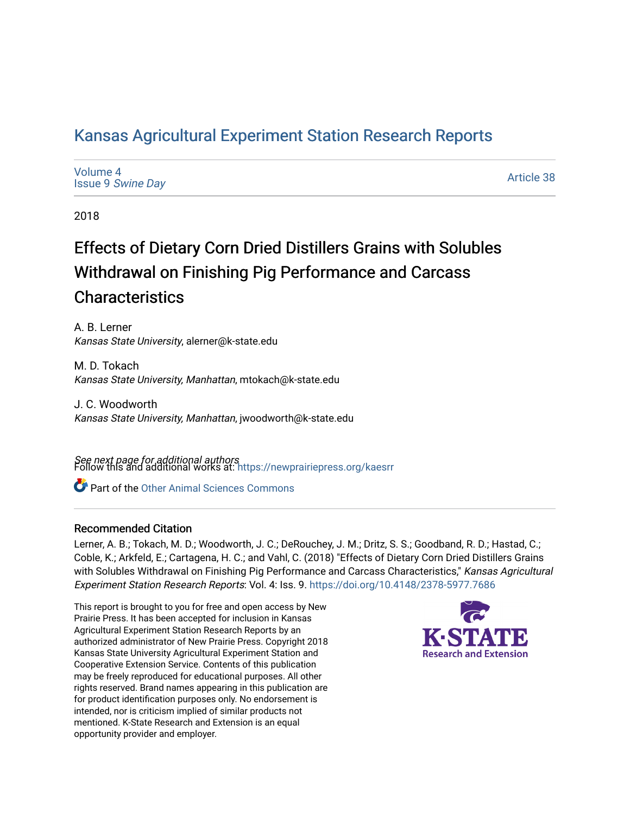# [Kansas Agricultural Experiment Station Research Reports](https://newprairiepress.org/kaesrr)

| Volume 4                 |  |
|--------------------------|--|
| <b>Issue 9 Swine Day</b> |  |

[Article 38](https://newprairiepress.org/kaesrr/vol4/iss9/38) 

2018

# Effects of Dietary Corn Dried Distillers Grains with Solubles Withdrawal on Finishing Pig Performance and Carcass **Characteristics**

A. B. Lerner Kansas State University, alerner@k-state.edu

M. D. Tokach Kansas State University, Manhattan, mtokach@k-state.edu

J. C. Woodworth Kansas State University, Manhattan, jwoodworth@k-state.edu

**See next page for additional authors**<br>Follow this and additional works at: https://newprairiepress.org/kaesrr

Part of the [Other Animal Sciences Commons](http://network.bepress.com/hgg/discipline/82?utm_source=newprairiepress.org%2Fkaesrr%2Fvol4%2Fiss9%2F38&utm_medium=PDF&utm_campaign=PDFCoverPages)

# Recommended Citation

Lerner, A. B.; Tokach, M. D.; Woodworth, J. C.; DeRouchey, J. M.; Dritz, S. S.; Goodband, R. D.; Hastad, C.; Coble, K.; Arkfeld, E.; Cartagena, H. C.; and Vahl, C. (2018) "Effects of Dietary Corn Dried Distillers Grains with Solubles Withdrawal on Finishing Pig Performance and Carcass Characteristics," Kansas Agricultural Experiment Station Research Reports: Vol. 4: Iss. 9. <https://doi.org/10.4148/2378-5977.7686>

This report is brought to you for free and open access by New Prairie Press. It has been accepted for inclusion in Kansas Agricultural Experiment Station Research Reports by an authorized administrator of New Prairie Press. Copyright 2018 Kansas State University Agricultural Experiment Station and Cooperative Extension Service. Contents of this publication may be freely reproduced for educational purposes. All other rights reserved. Brand names appearing in this publication are for product identification purposes only. No endorsement is intended, nor is criticism implied of similar products not mentioned. K-State Research and Extension is an equal opportunity provider and employer.

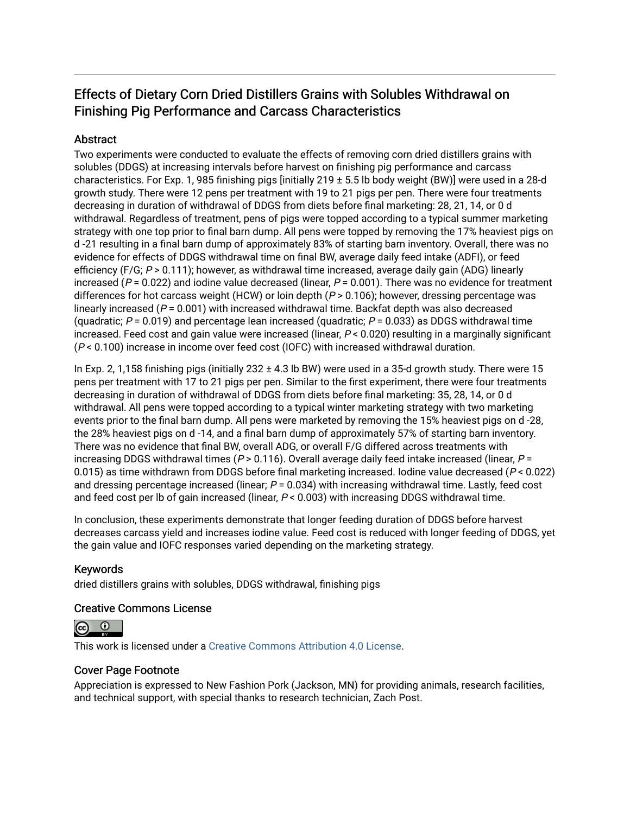# Effects of Dietary Corn Dried Distillers Grains with Solubles Withdrawal on Finishing Pig Performance and Carcass Characteristics

# **Abstract**

Two experiments were conducted to evaluate the effects of removing corn dried distillers grains with solubles (DDGS) at increasing intervals before harvest on finishing pig performance and carcass characteristics. For Exp. 1, 985 finishing pigs [initially 219 ± 5.5 lb body weight (BW)] were used in a 28-d growth study. There were 12 pens per treatment with 19 to 21 pigs per pen. There were four treatments decreasing in duration of withdrawal of DDGS from diets before final marketing: 28, 21, 14, or 0 d withdrawal. Regardless of treatment, pens of pigs were topped according to a typical summer marketing strategy with one top prior to final barn dump. All pens were topped by removing the 17% heaviest pigs on d -21 resulting in a final barn dump of approximately 83% of starting barn inventory. Overall, there was no evidence for effects of DDGS withdrawal time on final BW, average daily feed intake (ADFI), or feed efficiency (F/G;  $P > 0.111$ ); however, as withdrawal time increased, average daily gain (ADG) linearly increased ( $P = 0.022$ ) and iodine value decreased (linear,  $P = 0.001$ ). There was no evidence for treatment differences for hot carcass weight (HCW) or loin depth ( $P > 0.106$ ); however, dressing percentage was linearly increased ( $P = 0.001$ ) with increased withdrawal time. Backfat depth was also decreased (quadratic;  $P = 0.019$ ) and percentage lean increased (quadratic;  $P = 0.033$ ) as DDGS withdrawal time increased. Feed cost and gain value were increased (linear, P < 0.020) resulting in a marginally significant (P < 0.100) increase in income over feed cost (IOFC) with increased withdrawal duration.

In Exp. 2, 1,158 finishing pigs (initially 232 ± 4.3 lb BW) were used in a 35-d growth study. There were 15 pens per treatment with 17 to 21 pigs per pen. Similar to the first experiment, there were four treatments decreasing in duration of withdrawal of DDGS from diets before final marketing: 35, 28, 14, or 0 d withdrawal. All pens were topped according to a typical winter marketing strategy with two marketing events prior to the final barn dump. All pens were marketed by removing the 15% heaviest pigs on d -28, the 28% heaviest pigs on d -14, and a final barn dump of approximately 57% of starting barn inventory. There was no evidence that final BW, overall ADG, or overall F/G differed across treatments with increasing DDGS withdrawal times ( $P > 0.116$ ). Overall average daily feed intake increased (linear,  $P =$ 0.015) as time withdrawn from DDGS before final marketing increased. Iodine value decreased (P < 0.022) and dressing percentage increased (linear;  $P = 0.034$ ) with increasing withdrawal time. Lastly, feed cost and feed cost per lb of gain increased (linear,  $P < 0.003$ ) with increasing DDGS withdrawal time.

In conclusion, these experiments demonstrate that longer feeding duration of DDGS before harvest decreases carcass yield and increases iodine value. Feed cost is reduced with longer feeding of DDGS, yet the gain value and IOFC responses varied depending on the marketing strategy.

# Keywords

dried distillers grains with solubles, DDGS withdrawal, finishing pigs

## Creative Commons License



This work is licensed under a [Creative Commons Attribution 4.0 License](https://creativecommons.org/licenses/by/4.0/).

## Cover Page Footnote

Appreciation is expressed to New Fashion Pork (Jackson, MN) for providing animals, research facilities, and technical support, with special thanks to research technician, Zach Post.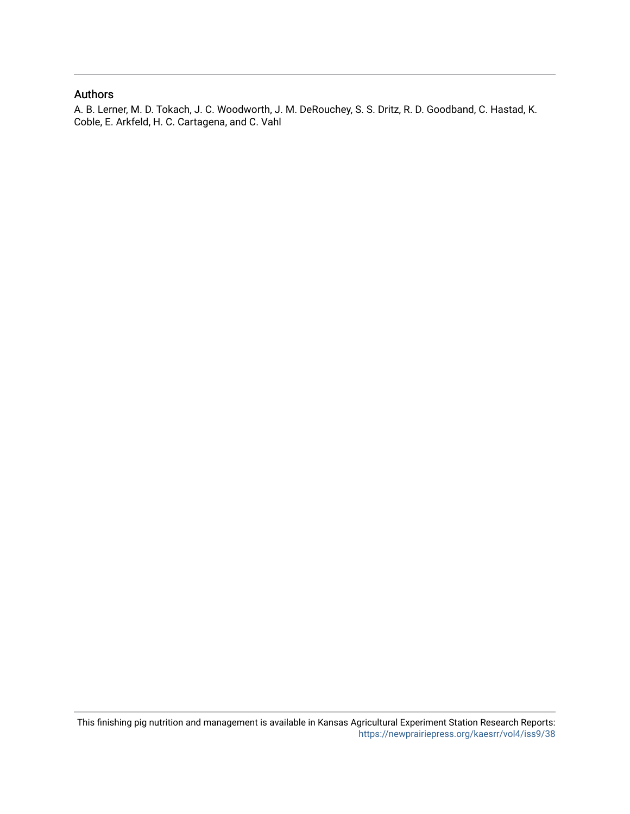## Authors

A. B. Lerner, M. D. Tokach, J. C. Woodworth, J. M. DeRouchey, S. S. Dritz, R. D. Goodband, C. Hastad, K. Coble, E. Arkfeld, H. C. Cartagena, and C. Vahl

This finishing pig nutrition and management is available in Kansas Agricultural Experiment Station Research Reports: <https://newprairiepress.org/kaesrr/vol4/iss9/38>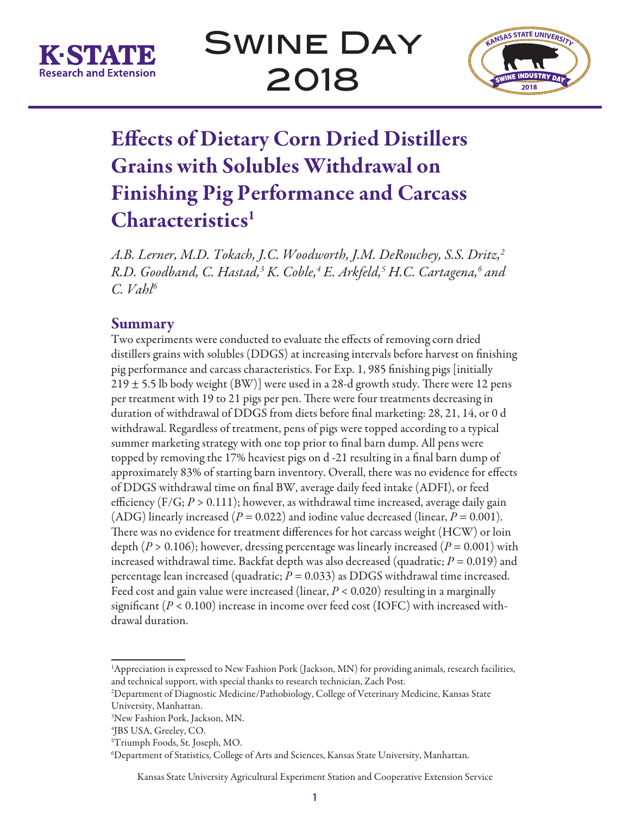



# Effects of Dietary Corn Dried Distillers Grains with Solubles Withdrawal on Finishing Pig Performance and Carcass Characteristics<sup>1</sup>

*A.B. Lerner, M.D. Tokach, J.C. Woodworth, J.M. DeRouchey, S.S. Dritz,2 R.D. Goodband, C. Hastad,3 K. Coble,4 E. Arkfeld,5 H.C. Cartagena,6 and C. Vahl6*

# Summary

Two experiments were conducted to evaluate the effects of removing corn dried distillers grains with solubles (DDGS) at increasing intervals before harvest on finishing pig performance and carcass characteristics. For Exp. 1, 985 finishing pigs [initially  $219 \pm 5.5$  lb body weight (BW)] were used in a 28-d growth study. There were 12 pens per treatment with 19 to 21 pigs per pen. There were four treatments decreasing in duration of withdrawal of DDGS from diets before final marketing: 28, 21, 14, or 0 d withdrawal. Regardless of treatment, pens of pigs were topped according to a typical summer marketing strategy with one top prior to final barn dump. All pens were topped by removing the 17% heaviest pigs on d -21 resulting in a final barn dump of approximately 83% of starting barn inventory. Overall, there was no evidence for effects of DDGS withdrawal time on final BW, average daily feed intake (ADFI), or feed efficiency  $(F/G; P > 0.111)$ ; however, as withdrawal time increased, average daily gain (ADG) linearly increased ( $P = 0.022$ ) and iodine value decreased (linear,  $P = 0.001$ ). There was no evidence for treatment differences for hot carcass weight (HCW) or loin depth  $(P > 0.106)$ ; however, dressing percentage was linearly increased  $(P = 0.001)$  with increased withdrawal time. Backfat depth was also decreased (quadratic; *P* = 0.019) and percentage lean increased (quadratic;  $P = 0.033$ ) as DDGS withdrawal time increased. Feed cost and gain value were increased (linear, *P* < 0.020) resulting in a marginally significant ( $P < 0.100$ ) increase in income over feed cost (IOFC) with increased withdrawal duration.

<sup>&</sup>lt;sup>1</sup>Appreciation is expressed to New Fashion Pork (Jackson, MN) for providing animals, research facilities, and technical support, with special thanks to research technician, Zach Post.

<sup>2</sup> Department of Diagnostic Medicine/Pathobiology, College of Veterinary Medicine, Kansas State University, Manhattan.

<sup>3</sup> New Fashion Pork, Jackson, MN.

<sup>4</sup> JBS USA, Greeley, CO.

<sup>5</sup> Triumph Foods, St. Joseph, MO.

<sup>6</sup> Department of Statistics, College of Arts and Sciences, Kansas State University, Manhattan.

Kansas State University Agricultural Experiment Station and Cooperative Extension Service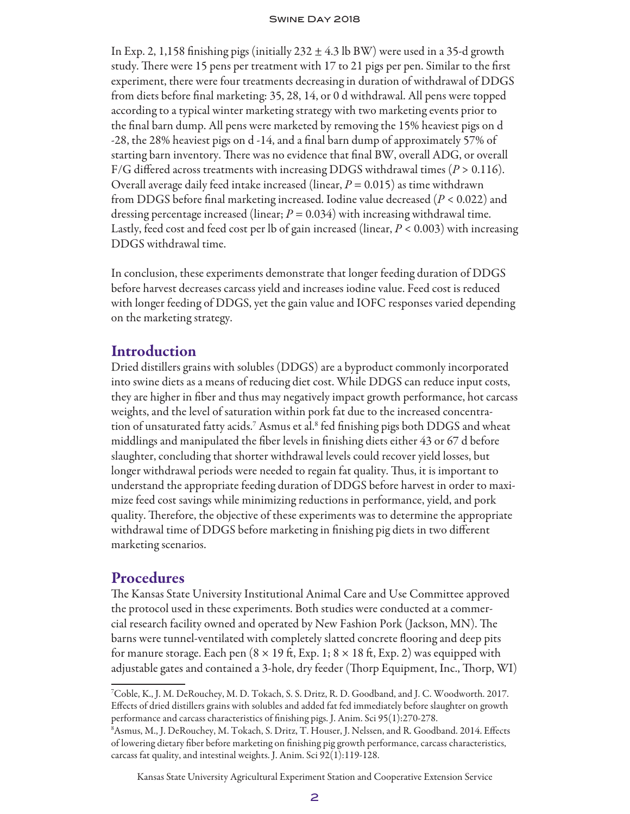In Exp. 2, 1,158 finishing pigs (initially  $232 \pm 4.3$  lb BW) were used in a 35-d growth study. There were 15 pens per treatment with 17 to 21 pigs per pen. Similar to the first experiment, there were four treatments decreasing in duration of withdrawal of DDGS from diets before final marketing: 35, 28, 14, or 0 d withdrawal. All pens were topped according to a typical winter marketing strategy with two marketing events prior to the final barn dump. All pens were marketed by removing the 15% heaviest pigs on d -28, the 28% heaviest pigs on d -14, and a final barn dump of approximately 57% of starting barn inventory. There was no evidence that final BW, overall ADG, or overall  $F/G$  differed across treatments with increasing DDGS withdrawal times ( $P > 0.116$ ). Overall average daily feed intake increased (linear, *P* = 0.015) as time withdrawn from DDGS before final marketing increased. Iodine value decreased (*P* < 0.022) and dressing percentage increased (linear;  $P = 0.034$ ) with increasing withdrawal time. Lastly, feed cost and feed cost per lb of gain increased (linear, *P* < 0.003) with increasing DDGS withdrawal time.

In conclusion, these experiments demonstrate that longer feeding duration of DDGS before harvest decreases carcass yield and increases iodine value. Feed cost is reduced with longer feeding of DDGS, yet the gain value and IOFC responses varied depending on the marketing strategy.

# Introduction

Dried distillers grains with solubles (DDGS) are a byproduct commonly incorporated into swine diets as a means of reducing diet cost. While DDGS can reduce input costs, they are higher in fiber and thus may negatively impact growth performance, hot carcass weights, and the level of saturation within pork fat due to the increased concentration of unsaturated fatty acids.<sup>7</sup> Asmus et al.<sup>8</sup> fed finishing pigs both DDGS and wheat middlings and manipulated the fiber levels in finishing diets either 43 or 67 d before slaughter, concluding that shorter withdrawal levels could recover yield losses, but longer withdrawal periods were needed to regain fat quality. Thus, it is important to understand the appropriate feeding duration of DDGS before harvest in order to maximize feed cost savings while minimizing reductions in performance, yield, and pork quality. Therefore, the objective of these experiments was to determine the appropriate withdrawal time of DDGS before marketing in finishing pig diets in two different marketing scenarios.

# **Procedures**

The Kansas State University Institutional Animal Care and Use Committee approved the protocol used in these experiments. Both studies were conducted at a commercial research facility owned and operated by New Fashion Pork (Jackson, MN). The barns were tunnel-ventilated with completely slatted concrete flooring and deep pits for manure storage. Each pen  $(8 \times 19 \text{ ft}, \text{Exp. 1}; 8 \times 18 \text{ ft}, \text{Exp. 2})$  was equipped with adjustable gates and contained a 3-hole, dry feeder (Thorp Equipment, Inc., Thorp, WI)

Kansas State University Agricultural Experiment Station and Cooperative Extension Service

<sup>7</sup> Coble, K., J. M. DeRouchey, M. D. Tokach, S. S. Dritz, R. D. Goodband, and J. C. Woodworth. 2017. Effects of dried distillers grains with solubles and added fat fed immediately before slaughter on growth performance and carcass characteristics of finishing pigs. J. Anim. Sci 95(1):270-278.

<sup>8</sup> Asmus, M., J. DeRouchey, M. Tokach, S. Dritz, T. Houser, J. Nelssen, and R. Goodband. 2014. Effects of lowering dietary fiber before marketing on finishing pig growth performance, carcass characteristics, carcass fat quality, and intestinal weights. J. Anim. Sci 92(1):119-128.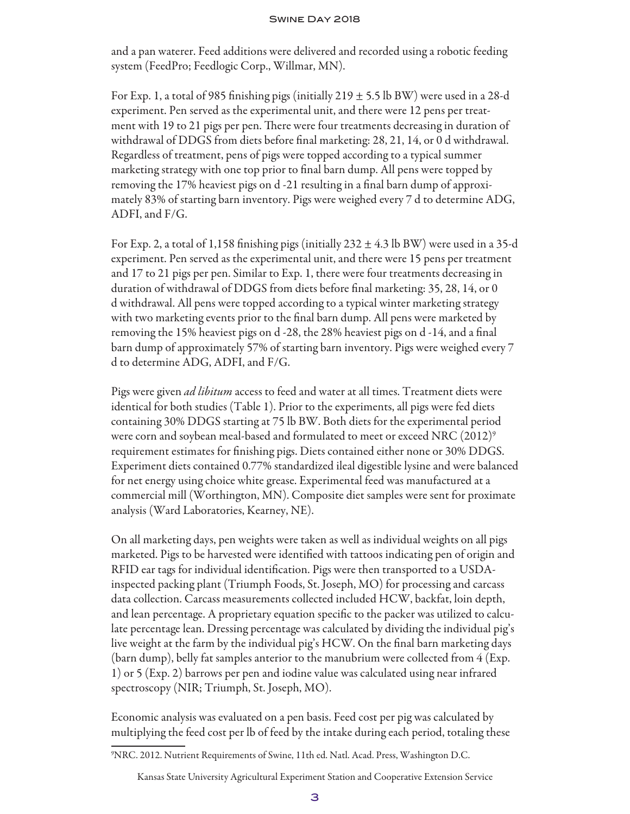and a pan waterer. Feed additions were delivered and recorded using a robotic feeding system (FeedPro; Feedlogic Corp., Willmar, MN).

For Exp. 1, a total of 985 finishing pigs (initially  $219 \pm 5.5$  lb BW) were used in a 28-d experiment. Pen served as the experimental unit, and there were 12 pens per treatment with 19 to 21 pigs per pen. There were four treatments decreasing in duration of withdrawal of DDGS from diets before final marketing: 28, 21, 14, or 0 d withdrawal. Regardless of treatment, pens of pigs were topped according to a typical summer marketing strategy with one top prior to final barn dump. All pens were topped by removing the 17% heaviest pigs on d -21 resulting in a final barn dump of approximately 83% of starting barn inventory. Pigs were weighed every 7 d to determine ADG, ADFI, and F/G.

For Exp. 2, a total of 1,158 finishing pigs (initially  $232 \pm 4.3$  lb BW) were used in a 35-d experiment. Pen served as the experimental unit, and there were 15 pens per treatment and 17 to 21 pigs per pen. Similar to Exp. 1, there were four treatments decreasing in duration of withdrawal of DDGS from diets before final marketing: 35, 28, 14, or 0 d withdrawal. All pens were topped according to a typical winter marketing strategy with two marketing events prior to the final barn dump. All pens were marketed by removing the 15% heaviest pigs on d -28, the 28% heaviest pigs on d -14, and a final barn dump of approximately 57% of starting barn inventory. Pigs were weighed every 7 d to determine ADG, ADFI, and F/G.

Pigs were given *ad libitum* access to feed and water at all times. Treatment diets were identical for both studies (Table 1). Prior to the experiments, all pigs were fed diets containing 30% DDGS starting at 75 lb BW. Both diets for the experimental period were corn and soybean meal-based and formulated to meet or exceed NRC  $(2012)^9$ requirement estimates for finishing pigs. Diets contained either none or 30% DDGS. Experiment diets contained 0.77% standardized ileal digestible lysine and were balanced for net energy using choice white grease. Experimental feed was manufactured at a commercial mill (Worthington, MN). Composite diet samples were sent for proximate analysis (Ward Laboratories, Kearney, NE).

On all marketing days, pen weights were taken as well as individual weights on all pigs marketed. Pigs to be harvested were identified with tattoos indicating pen of origin and RFID ear tags for individual identification. Pigs were then transported to a USDAinspected packing plant (Triumph Foods, St. Joseph, MO) for processing and carcass data collection. Carcass measurements collected included HCW, backfat, loin depth, and lean percentage. A proprietary equation specific to the packer was utilized to calculate percentage lean. Dressing percentage was calculated by dividing the individual pig's live weight at the farm by the individual pig's HCW. On the final barn marketing days (barn dump), belly fat samples anterior to the manubrium were collected from 4 (Exp. 1) or 5 (Exp. 2) barrows per pen and iodine value was calculated using near infrared spectroscopy (NIR; Triumph, St. Joseph, MO).

Economic analysis was evaluated on a pen basis. Feed cost per pig was calculated by multiplying the feed cost per lb of feed by the intake during each period, totaling these

<sup>9</sup> NRC. 2012. Nutrient Requirements of Swine, 11th ed. Natl. Acad. Press, Washington D.C.

Kansas State University Agricultural Experiment Station and Cooperative Extension Service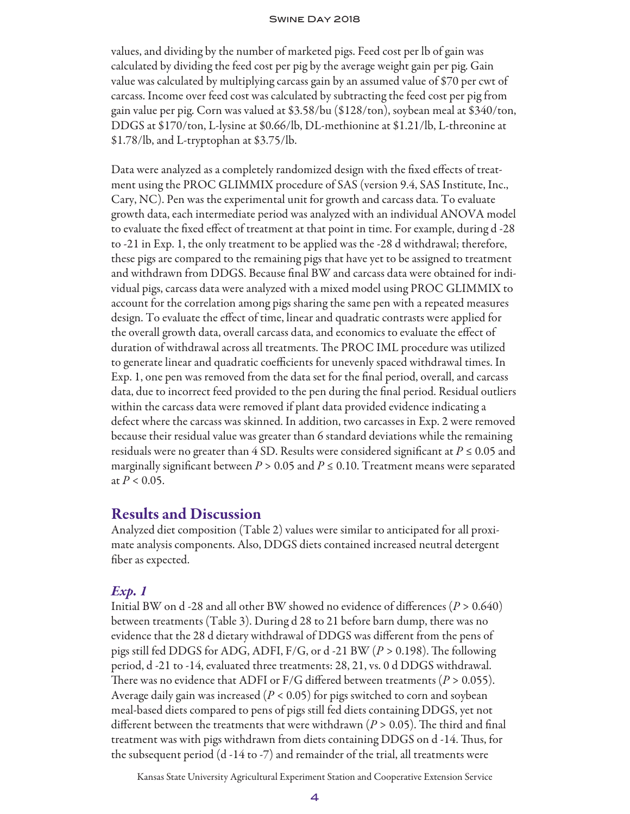values, and dividing by the number of marketed pigs. Feed cost per lb of gain was calculated by dividing the feed cost per pig by the average weight gain per pig. Gain value was calculated by multiplying carcass gain by an assumed value of \$70 per cwt of carcass. Income over feed cost was calculated by subtracting the feed cost per pig from gain value per pig. Corn was valued at \$3.58/bu (\$128/ton), soybean meal at \$340/ton, DDGS at \$170/ton, L-lysine at \$0.66/lb, DL-methionine at \$1.21/lb, L-threonine at \$1.78/lb, and L-tryptophan at \$3.75/lb.

Data were analyzed as a completely randomized design with the fixed effects of treatment using the PROC GLIMMIX procedure of SAS (version 9.4, SAS Institute, Inc., Cary, NC). Pen was the experimental unit for growth and carcass data. To evaluate growth data, each intermediate period was analyzed with an individual ANOVA model to evaluate the fixed effect of treatment at that point in time. For example, during d -28 to -21 in Exp. 1, the only treatment to be applied was the -28 d withdrawal; therefore, these pigs are compared to the remaining pigs that have yet to be assigned to treatment and withdrawn from DDGS. Because final BW and carcass data were obtained for individual pigs, carcass data were analyzed with a mixed model using PROC GLIMMIX to account for the correlation among pigs sharing the same pen with a repeated measures design. To evaluate the effect of time, linear and quadratic contrasts were applied for the overall growth data, overall carcass data, and economics to evaluate the effect of duration of withdrawal across all treatments. The PROC IML procedure was utilized to generate linear and quadratic coefficients for unevenly spaced withdrawal times. In Exp. 1, one pen was removed from the data set for the final period, overall, and carcass data, due to incorrect feed provided to the pen during the final period. Residual outliers within the carcass data were removed if plant data provided evidence indicating a defect where the carcass was skinned. In addition, two carcasses in Exp. 2 were removed because their residual value was greater than 6 standard deviations while the remaining residuals were no greater than  $4$  SD. Results were considered significant at  $P \le 0.05$  and marginally significant between  $P > 0.05$  and  $P \le 0.10$ . Treatment means were separated at  $P < 0.05$ .

# Results and Discussion

Analyzed diet composition (Table 2) values were similar to anticipated for all proximate analysis components. Also, DDGS diets contained increased neutral detergent fiber as expected.

## *Exp. 1*

Initial BW on d -28 and all other BW showed no evidence of differences (*P* > 0.640) between treatments (Table 3). During d 28 to 21 before barn dump, there was no evidence that the 28 d dietary withdrawal of DDGS was different from the pens of pigs still fed DDGS for ADG, ADFI, F/G, or d -21 BW (*P >* 0.198). The following period, d -21 to -14, evaluated three treatments: 28, 21, vs. 0 d DDGS withdrawal. There was no evidence that ADFI or  $F/G$  differed between treatments ( $P > 0.055$ ). Average daily gain was increased (*P* < 0.05) for pigs switched to corn and soybean meal-based diets compared to pens of pigs still fed diets containing DDGS, yet not different between the treatments that were withdrawn (*P* > 0.05). The third and final treatment was with pigs withdrawn from diets containing DDGS on d -14. Thus, for the subsequent period (d -14 to -7) and remainder of the trial, all treatments were

Kansas State University Agricultural Experiment Station and Cooperative Extension Service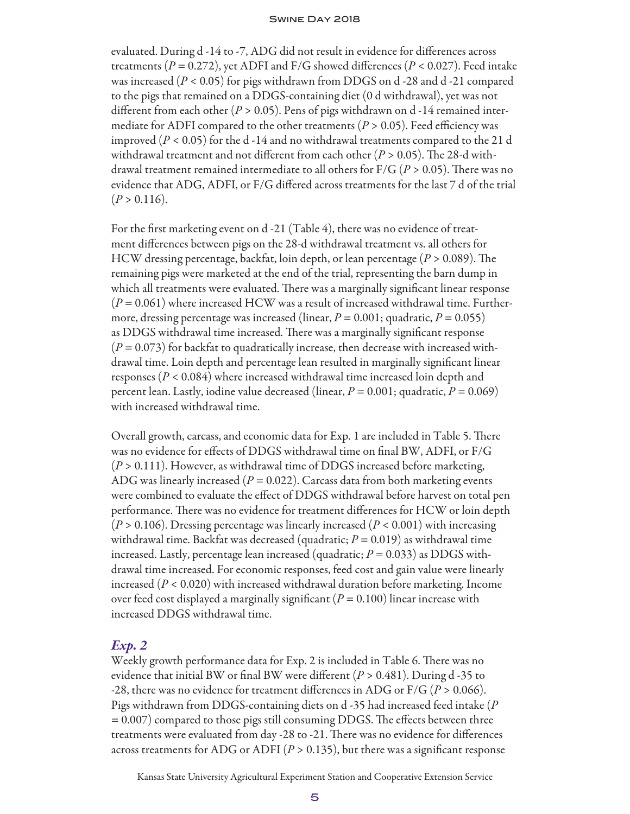evaluated. During d -14 to -7, ADG did not result in evidence for differences across treatments ( $P = 0.272$ ), yet ADFI and F/G showed differences ( $P < 0.027$ ). Feed intake was increased  $(P < 0.05)$  for pigs withdrawn from DDGS on d -28 and d -21 compared to the pigs that remained on a DDGS-containing diet (0 d withdrawal), yet was not different from each other (*P* > 0.05). Pens of pigs withdrawn on d -14 remained intermediate for ADFI compared to the other treatments ( $P > 0.05$ ). Feed efficiency was improved  $(P < 0.05)$  for the d -14 and no withdrawal treatments compared to the 21 d withdrawal treatment and not different from each other (*P* > 0.05). The 28-d withdrawal treatment remained intermediate to all others for F/G (*P* > 0.05). There was no evidence that ADG, ADFI, or F/G differed across treatments for the last 7 d of the trial  $(P > 0.116)$ .

For the first marketing event on d -21 (Table 4), there was no evidence of treatment differences between pigs on the 28-d withdrawal treatment vs. all others for HCW dressing percentage, backfat, loin depth, or lean percentage (*P* > 0.089). The remaining pigs were marketed at the end of the trial, representing the barn dump in which all treatments were evaluated. There was a marginally significant linear response (*P* = 0.061) where increased HCW was a result of increased withdrawal time. Furthermore, dressing percentage was increased (linear,  $P = 0.001$ ; quadratic,  $P = 0.055$ ) as DDGS withdrawal time increased. There was a marginally significant response  $(P = 0.073)$  for backfat to quadratically increase, then decrease with increased withdrawal time. Loin depth and percentage lean resulted in marginally significant linear responses (*P* < 0.084) where increased withdrawal time increased loin depth and percent lean. Lastly, iodine value decreased (linear,  $P = 0.001$ ; quadratic,  $P = 0.069$ ) with increased withdrawal time.

Overall growth, carcass, and economic data for Exp. 1 are included in Table 5. There was no evidence for effects of DDGS withdrawal time on final BW, ADFI, or F/G (*P* > 0.111). However, as withdrawal time of DDGS increased before marketing, ADG was linearly increased ( $P = 0.022$ ). Carcass data from both marketing events were combined to evaluate the effect of DDGS withdrawal before harvest on total pen performance. There was no evidence for treatment differences for HCW or loin depth (*P* > 0.106). Dressing percentage was linearly increased (*P* < 0.001) with increasing withdrawal time. Backfat was decreased (quadratic;  $P = 0.019$ ) as withdrawal time increased. Lastly, percentage lean increased (quadratic;  $P = 0.033$ ) as DDGS withdrawal time increased. For economic responses, feed cost and gain value were linearly increased (*P* < 0.020) with increased withdrawal duration before marketing. Income over feed cost displayed a marginally significant  $(P = 0.100)$  linear increase with increased DDGS withdrawal time.

# *Exp. 2*

Weekly growth performance data for Exp. 2 is included in Table 6. There was no evidence that initial BW or final BW were different (*P* > 0.481). During d -35 to -28, there was no evidence for treatment differences in ADG or F/G (*P* > 0.066). Pigs withdrawn from DDGS-containing diets on d -35 had increased feed intake (*P* = 0.007) compared to those pigs still consuming DDGS. The effects between three treatments were evaluated from day -28 to -21. There was no evidence for differences across treatments for ADG or ADFI ( $P > 0.135$ ), but there was a significant response

Kansas State University Agricultural Experiment Station and Cooperative Extension Service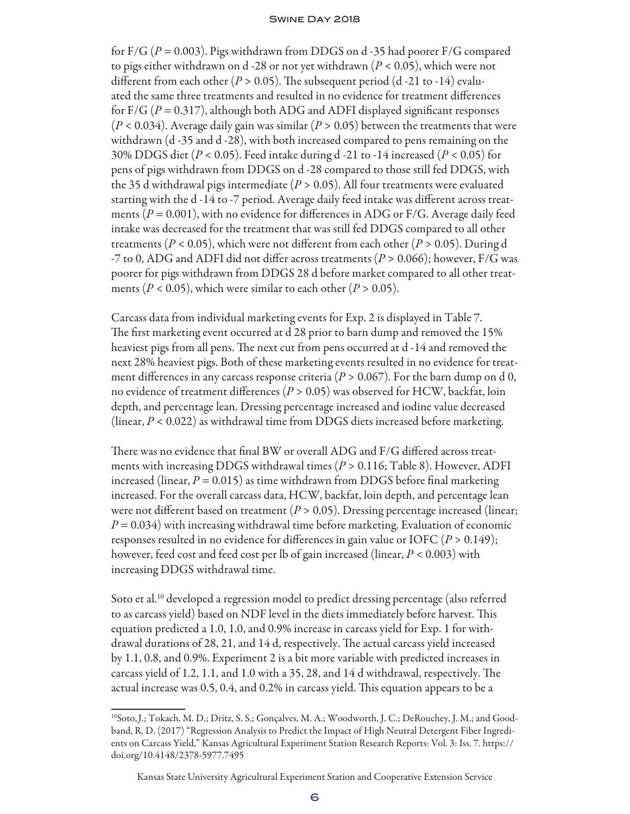for F/G ( $P = 0.003$ ). Pigs withdrawn from DDGS on d -35 had poorer F/G compared to pigs either withdrawn on d -28 or not yet withdrawn (*P* < 0.05), which were not different from each other ( $P > 0.05$ ). The subsequent period (d-21 to-14) evaluated the same three treatments and resulted in no evidence for treatment differences for F/G (*P* = 0.317), although both ADG and ADFI displayed significant responses  $(P < 0.034)$ . Average daily gain was similar  $(P > 0.05)$  between the treatments that were withdrawn (d -35 and d -28), with both increased compared to pens remaining on the 30% DDGS diet (*P* < 0.05). Feed intake during d -21 to -14 increased (*P* < 0.05) for pens of pigs withdrawn from DDGS on d -28 compared to those still fed DDGS, with the 35 d withdrawal pigs intermediate ( $P > 0.05$ ). All four treatments were evaluated starting with the d -14 to -7 period. Average daily feed intake was different across treatments ( $P = 0.001$ ), with no evidence for differences in ADG or F/G. Average daily feed intake was decreased for the treatment that was still fed DDGS compared to all other treatments ( $P < 0.05$ ), which were not different from each other ( $P > 0.05$ ). During d -7 to 0, ADG and ADFI did not differ across treatments (*P* > 0.066); however, F/G was poorer for pigs withdrawn from DDGS 28 d before market compared to all other treatments ( $P < 0.05$ ), which were similar to each other ( $P > 0.05$ ).

Carcass data from individual marketing events for Exp. 2 is displayed in Table 7. The first marketing event occurred at d 28 prior to barn dump and removed the 15% heaviest pigs from all pens. The next cut from pens occurred at d -14 and removed the next 28% heaviest pigs. Both of these marketing events resulted in no evidence for treatment differences in any carcass response criteria ( $P > 0.067$ ). For the barn dump on d 0, no evidence of treatment differences (*P* > 0.05) was observed for HCW, backfat, loin depth, and percentage lean. Dressing percentage increased and iodine value decreased (linear, *P* < 0.022) as withdrawal time from DDGS diets increased before marketing.

There was no evidence that final BW or overall ADG and F/G differed across treatments with increasing DDGS withdrawal times (*P* > 0.116; Table 8). However, ADFI increased (linear,  $P = 0.015$ ) as time withdrawn from DDGS before final marketing increased. For the overall carcass data, HCW, backfat, loin depth, and percentage lean were not different based on treatment  $(P > 0.05)$ . Dressing percentage increased (linear; *P* = 0.034) with increasing withdrawal time before marketing. Evaluation of economic responses resulted in no evidence for differences in gain value or IOFC (*P* > 0.149); however, feed cost and feed cost per lb of gain increased (linear, *P* < 0.003) with increasing DDGS withdrawal time.

Soto et al.<sup>10</sup> developed a regression model to predict dressing percentage (also referred to as carcass yield) based on NDF level in the diets immediately before harvest. This equation predicted a 1.0, 1.0, and 0.9% increase in carcass yield for Exp. 1 for withdrawal durations of 28, 21, and 14 d, respectively. The actual carcass yield increased by 1.1, 0.8, and 0.9%. Experiment 2 is a bit more variable with predicted increases in carcass yield of 1.2, 1.1, and 1.0 with a 35, 28, and 14 d withdrawal, respectively. The actual increase was 0.5, 0.4, and 0.2% in carcass yield. This equation appears to be a

<sup>10</sup>Soto,J.; Tokach, M. D.; Dritz, S. S.; Gonçalves, M. A.; Woodworth, J. C.; DeRouchey, J. M.; and Goodband, R. D. (2017) "Regression Analysis to Predict the Impact of High Neutral Detergent Fiber Ingredients on Carcass Yield," Kansas Agricultural Experiment Station Research Reports: Vol. 3: Iss. 7. https:// doi.org/10.4148/2378-5977.7495

Kansas State University Agricultural Experiment Station and Cooperative Extension Service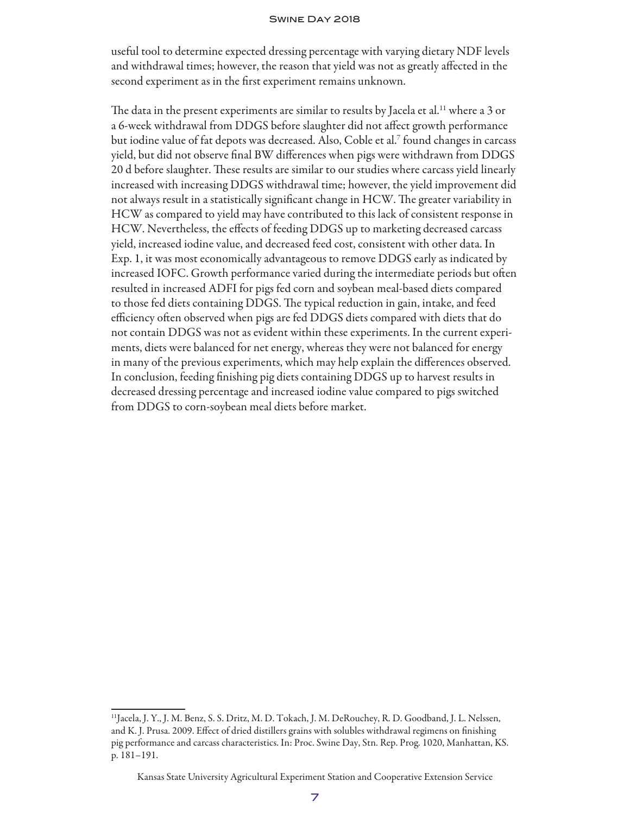useful tool to determine expected dressing percentage with varying dietary NDF levels and withdrawal times; however, the reason that yield was not as greatly affected in the second experiment as in the first experiment remains unknown.

The data in the present experiments are similar to results by Jacela et al.<sup>11</sup> where a 3 or a 6-week withdrawal from DDGS before slaughter did not affect growth performance but iodine value of fat depots was decreased. Also, Coble et al.7 found changes in carcass yield, but did not observe final BW differences when pigs were withdrawn from DDGS 20 d before slaughter. These results are similar to our studies where carcass yield linearly increased with increasing DDGS withdrawal time; however, the yield improvement did not always result in a statistically significant change in HCW. The greater variability in HCW as compared to yield may have contributed to this lack of consistent response in HCW. Nevertheless, the effects of feeding DDGS up to marketing decreased carcass yield, increased iodine value, and decreased feed cost, consistent with other data. In Exp. 1, it was most economically advantageous to remove DDGS early as indicated by increased IOFC. Growth performance varied during the intermediate periods but often resulted in increased ADFI for pigs fed corn and soybean meal-based diets compared to those fed diets containing DDGS. The typical reduction in gain, intake, and feed efficiency often observed when pigs are fed DDGS diets compared with diets that do not contain DDGS was not as evident within these experiments. In the current experiments, diets were balanced for net energy, whereas they were not balanced for energy in many of the previous experiments, which may help explain the differences observed. In conclusion, feeding finishing pig diets containing DDGS up to harvest results in decreased dressing percentage and increased iodine value compared to pigs switched from DDGS to corn-soybean meal diets before market.

<sup>11</sup>Jacela, J. Y., J. M. Benz, S. S. Dritz, M. D. Tokach, J. M. DeRouchey, R. D. Goodband, J. L. Nelssen, and K. J. Prusa. 2009. Effect of dried distillers grains with solubles withdrawal regimens on finishing pig performance and carcass characteristics. In: Proc. Swine Day, Stn. Rep. Prog. 1020, Manhattan, KS. p. 181–191.

Kansas State University Agricultural Experiment Station and Cooperative Extension Service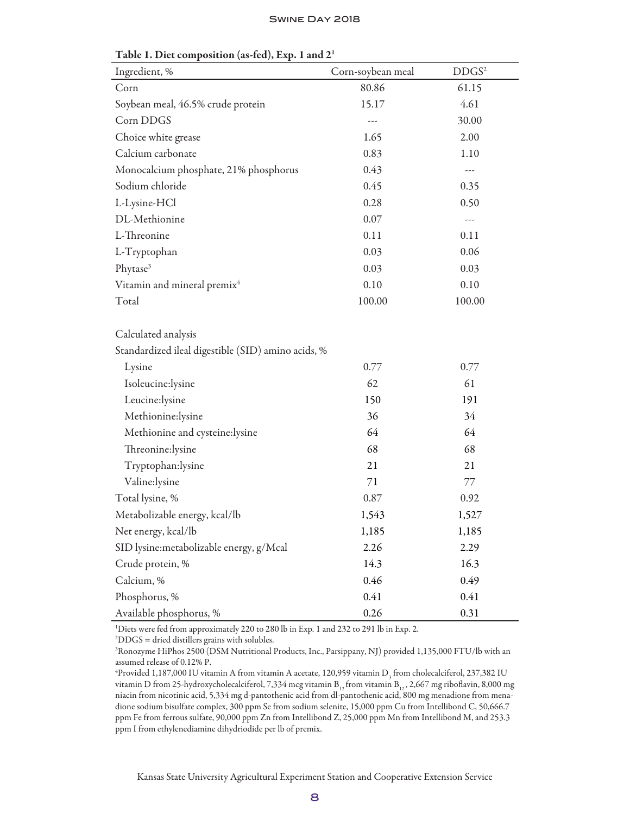| Ingredient, %                                                             | Corn-soybean meal | DDGS <sup>2</sup>    |
|---------------------------------------------------------------------------|-------------------|----------------------|
| Corn                                                                      | 80.86             | 61.15                |
| Soybean meal, 46.5% crude protein                                         | 15.17             | 4.61                 |
| Corn DDGS                                                                 |                   | 30.00                |
| Choice white grease                                                       | 1.65              | 2.00                 |
| Calcium carbonate                                                         | 0.83              | 1.10                 |
| Monocalcium phosphate, 21% phosphorus                                     | 0.43              |                      |
| Sodium chloride                                                           | 0.45              | 0.35                 |
| L-Lysine-HCl                                                              | 0.28              | 0.50                 |
| DL-Methionine                                                             | 0.07              | $\sim$ $\sim$ $\sim$ |
| L-Threonine                                                               | 0.11              | 0.11                 |
| L-Tryptophan                                                              | 0.03              | 0.06                 |
| Phytase <sup>3</sup>                                                      | 0.03              | 0.03                 |
| Vitamin and mineral premix <sup>4</sup>                                   | 0.10              | 0.10                 |
| Total                                                                     | 100.00            | 100.00               |
| Calculated analysis<br>Standardized ileal digestible (SID) amino acids, % |                   |                      |
| Lysine                                                                    | 0.77              | 0.77                 |
| Isoleucine:lysine                                                         | 62                | 61                   |
| Leucine:lysine                                                            | 150               | 191                  |
| Methionine:lysine                                                         | 36                | 34                   |
| Methionine and cysteine:lysine                                            | 64                | 64                   |
| Threonine:lysine                                                          | 68                | 68                   |
| Tryptophan:lysine                                                         | 21                | 21                   |
| Valine:lysine                                                             | 71                | 77                   |
| Total lysine, %                                                           | 0.87              | 0.92                 |
| Metabolizable energy, kcal/lb                                             | 1,543             | 1,527                |
| Net energy, kcal/lb                                                       | 1,185             | 1,185                |
| SID lysine:metabolizable energy, g/Mcal                                   | 2.26              | 2.29                 |
| Crude protein, %                                                          | 14.3              | 16.3                 |
| Calcium, %                                                                | 0.46              | 0.49                 |
| Phosphorus, %                                                             | 0.41              | 0.41                 |
| Available phosphorus, %                                                   | 0.26              | 0.31                 |

Table 1. Diet composition (as-fed), Exp. 1 and 21

<sup>1</sup>Diets were fed from approximately 220 to 280 lb in Exp. 1 and 232 to 291 lb in Exp. 2.

2 DDGS = dried distillers grains with solubles.

3 Ronozyme HiPhos 2500 (DSM Nutritional Products, Inc., Parsippany, NJ) provided 1,135,000 FTU/lb with an assumed release of 0.12% P.

 $^4$ Provided 1,187,000 IU vitamin A from vitamin A acetate, 120,959 vitamin  $\rm D^{}_3$  from cholecalciferol, 237,382 IU vitamin D from 25-hydroxycholecalciferol, 7,334 mcg vitamin  $B_{12}$  from vitamin  $B_{12}$ , 2,667 mg riboflavin, 8,000 mg niacin from nicotinic acid, 5,334 mg d-pantothenic acid from dl-pantothenic acid, 800 mg menadione from menadione sodium bisulfate complex, 300 ppm Se from sodium selenite, 15,000 ppm Cu from Intellibond C, 50,666.7 ppm Fe from ferrous sulfate, 90,000 ppm Zn from Intellibond Z, 25,000 ppm Mn from Intellibond M, and 253.3 ppm I from ethylenediamine dihydriodide per lb of premix.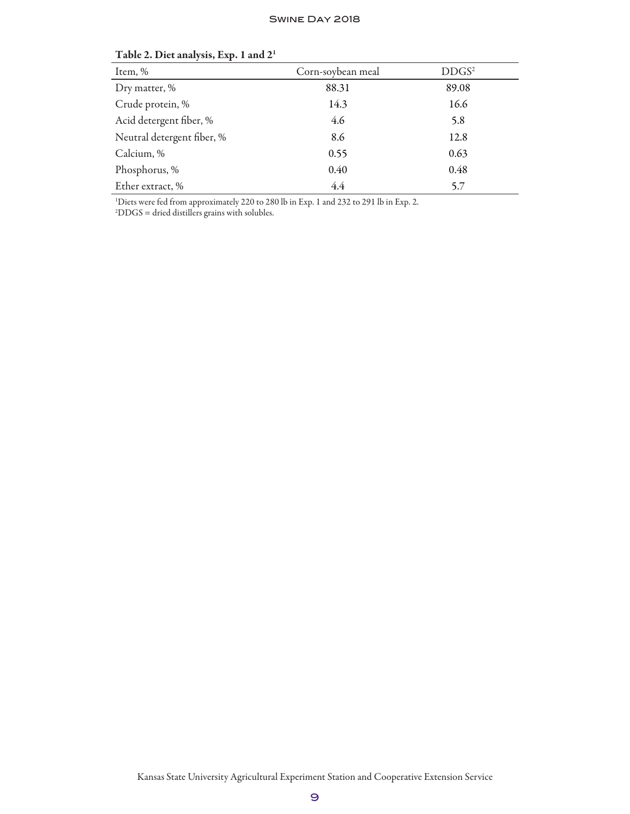| Item, %                    | Corn-soybean meal | DDGS <sup>2</sup> |
|----------------------------|-------------------|-------------------|
| Dry matter, %              | 88.31             | 89.08             |
| Crude protein, %           | 14.3              | 16.6              |
| Acid detergent fiber, %    | 4.6               | 5.8               |
| Neutral detergent fiber, % | 8.6               | 12.8              |
| Calcium, %                 | 0.55              | 0.63              |
| Phosphorus, %              | 0.40              | 0.48              |
| Ether extract, %           | 4.4               | 5.7               |

### Table 2. Diet analysis, Exp. 1 and 21

1 Diets were fed from approximately 220 to 280 lb in Exp. 1 and 232 to 291 lb in Exp. 2.

2 DDGS = dried distillers grains with solubles.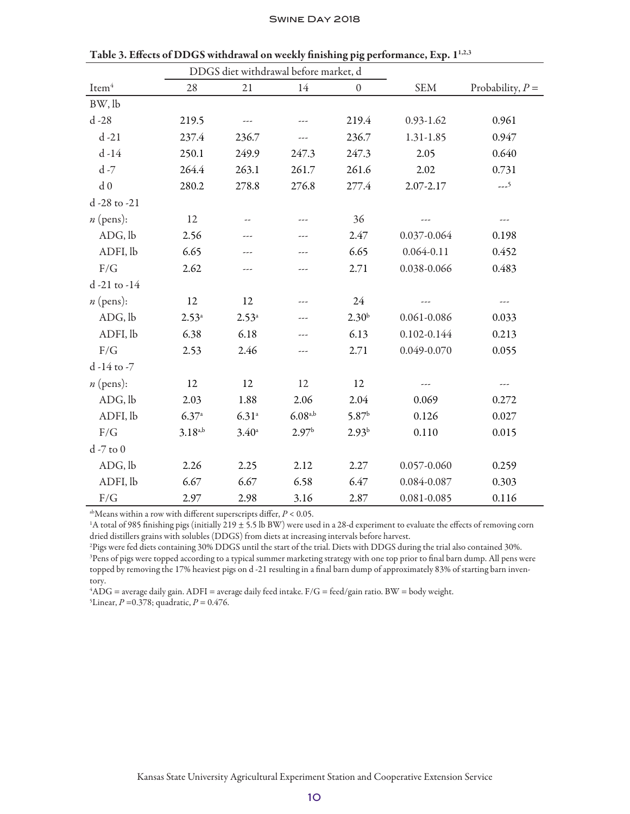|                   |                | DDGS diet withdrawal before market, d |                   |                   |                 |                    |
|-------------------|----------------|---------------------------------------|-------------------|-------------------|-----------------|--------------------|
| Item <sup>4</sup> | 28             | 21                                    | 14                | $\boldsymbol{0}$  | <b>SEM</b>      | Probability, $P =$ |
| BW, lb            |                |                                       |                   |                   |                 |                    |
| $d - 28$          | 219.5          | ---                                   | ---               | 219.4             | $0.93 - 1.62$   | 0.961              |
| $d - 21$          | 237.4          | 236.7                                 | ---               | 236.7             | 1.31-1.85       | 0.947              |
| $d-14$            | 250.1          | 249.9                                 | 247.3             | 247.3             | 2.05            | 0.640              |
| $d - 7$           | 264.4          | 263.1                                 | 261.7             | 261.6             | 2.02            | 0.731              |
| d <sub>0</sub>    | 280.2          | 278.8                                 | 276.8             | 277.4             | 2.07-2.17       | $--5$              |
| d -28 to -21      |                |                                       |                   |                   |                 |                    |
| $n$ (pens):       | 12             |                                       |                   | 36                |                 | ---                |
| ADG, lb           | 2.56           | ---                                   | ---               | 2.47              | 0.037-0.064     | 0.198              |
| ADFI, lb          | 6.65           | ---                                   | ---               | 6.65              | $0.064 - 0.11$  | 0.452              |
| F/G               | 2.62           | ---                                   |                   | 2.71              | 0.038-0.066     | 0.483              |
| d-21 to -14       |                |                                       |                   |                   |                 |                    |
| $n$ (pens):       | 12             | 12                                    |                   | 24                |                 | ---                |
| ADG, lb           | $2.53^{\circ}$ | $2.53^{a}$                            | ---               | 2.30 <sup>b</sup> | $0.061 - 0.086$ | 0.033              |
| ADFI, lb          | 6.38           | 6.18                                  | ---               | 6.13              | 0.102-0.144     | 0.213              |
| F/G               | 2.53           | 2.46                                  | ---               | 2.71              | 0.049-0.070     | 0.055              |
| d -14 to -7       |                |                                       |                   |                   |                 |                    |
| $n$ (pens):       | 12             | 12                                    | 12                | 12                |                 | ---                |
| ADG, lb           | 2.03           | 1.88                                  | 2.06              | 2.04              | 0.069           | 0.272              |
| ADFI, lb          | 6.37a          | $6.31^{a}$                            | $6.08^{a,b}$      | 5.87 <sup>b</sup> | 0.126           | 0.027              |
| F/G               | $3.18^{a,b}$   | $3.40^{\circ}$                        | 2.97 <sup>b</sup> | $2.93^{b}$        | 0.110           | 0.015              |
| $d - 7$ to $0$    |                |                                       |                   |                   |                 |                    |
| ADG, lb           | 2.26           | 2.25                                  | 2.12              | 2.27              | 0.057-0.060     | 0.259              |
| ADFI, lb          | 6.67           | 6.67                                  | 6.58              | 6.47              | 0.084-0.087     | 0.303              |
| F/G               | 2.97           | 2.98                                  | 3.16              | 2.87              | 0.081-0.085     | 0.116              |

Table 3. Effects of DDGS withdrawal on weekly finishing pig performance, Exp. 1<sup>1,2,3</sup>

abMeans within a row with different superscripts differ, *P* < 0.05.

<sup>1</sup>A total of 985 finishing pigs (initially 219 ± 5.5 lb BW) were used in a 28-d experiment to evaluate the effects of removing corn dried distillers grains with solubles (DDGS) from diets at increasing intervals before harvest.

2 Pigs were fed diets containing 30% DDGS until the start of the trial. Diets with DDGS during the trial also contained 30%. 3 Pens of pigs were topped according to a typical summer marketing strategy with one top prior to final barn dump. All pens were topped by removing the 17% heaviest pigs on d -21 resulting in a final barn dump of approximately 83% of starting barn inventory.

4 ADG = average daily gain. ADFI = average daily feed intake. F/G = feed/gain ratio. BW = body weight.

5 Linear, *P* =0.378; quadratic, *P* = 0.476.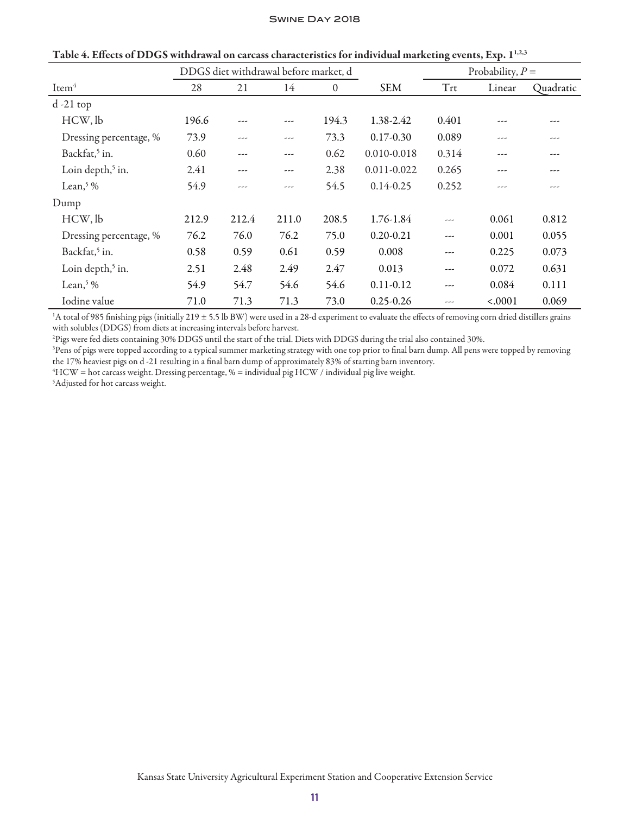|                              |       | DDGS diet withdrawal before market, d |       |          |                 | Probability, $P =$ |         |           |
|------------------------------|-------|---------------------------------------|-------|----------|-----------------|--------------------|---------|-----------|
| Item <sup>4</sup>            | 28    | 21                                    | 14    | $\theta$ | <b>SEM</b>      | Trt                | Linear  | Quadratic |
| $d-21$ top                   |       |                                       |       |          |                 |                    |         |           |
| HCW, lb                      | 196.6 |                                       | ---   | 194.3    | 1.38-2.42       | 0.401              | ---     |           |
| Dressing percentage, %       | 73.9  | ---                                   | ---   | 73.3     | $0.17 - 0.30$   | 0.089              | ---     |           |
| Backfat, <sup>5</sup> in.    | 0.60  | ---                                   | ---   | 0.62     | 0.010-0.018     | 0.314              | ---     |           |
| Loin depth, <sup>5</sup> in. | 2.41  | ---                                   | ---   | 2.38     | $0.011 - 0.022$ | 0.265              | ---     |           |
| Lean, $\frac{5}{6}$ %        | 54.9  |                                       | ---   | 54.5     | $0.14 - 0.25$   | 0.252              | ---     |           |
| Dump                         |       |                                       |       |          |                 |                    |         |           |
| HCW, lb                      | 212.9 | 212.4                                 | 211.0 | 208.5    | 1.76-1.84       | ---                | 0.061   | 0.812     |
| Dressing percentage, %       | 76.2  | 76.0                                  | 76.2  | 75.0     | $0.20 - 0.21$   | ---                | 0.001   | 0.055     |
| Backfat, <sup>5</sup> in.    | 0.58  | 0.59                                  | 0.61  | 0.59     | 0.008           | ---                | 0.225   | 0.073     |
| Loin depth, <sup>5</sup> in. | 2.51  | 2.48                                  | 2.49  | 2.47     | 0.013           | ---                | 0.072   | 0.631     |
| Lean, $5\%$                  | 54.9  | 54.7                                  | 54.6  | 54.6     | $0.11 - 0.12$   | ---                | 0.084   | 0.111     |
| Iodine value                 | 71.0  | 71.3                                  | 71.3  | 73.0     | $0.25 - 0.26$   | ---                | < .0001 | 0.069     |

Table 4. Effects of DDGS withdrawal on carcass characteristics for individual marketing events, Exp. 1<sup>1,2,3</sup>

<sup>1</sup>A total of 985 finishing pigs (initially 219 ± 5.5 lb BW) were used in a 28-d experiment to evaluate the effects of removing corn dried distillers grains with solubles (DDGS) from diets at increasing intervals before harvest.

2 Pigs were fed diets containing 30% DDGS until the start of the trial. Diets with DDGS during the trial also contained 30%.

3 Pens of pigs were topped according to a typical summer marketing strategy with one top prior to final barn dump. All pens were topped by removing the 17% heaviest pigs on d -21 resulting in a final barn dump of approximately 83% of starting barn inventory.

4 HCW = hot carcass weight. Dressing percentage, % = individual pig HCW / individual pig live weight.

5 Adjusted for hot carcass weight.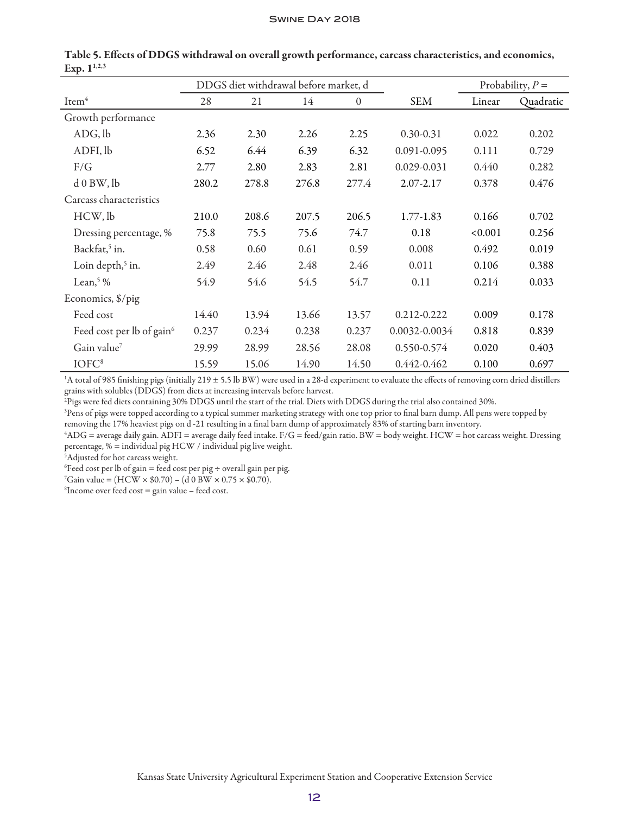|                                       |       | DDGS diet withdrawal before market, d |       |              |               | Probability, $P =$ |           |
|---------------------------------------|-------|---------------------------------------|-------|--------------|---------------|--------------------|-----------|
| Item <sup>4</sup>                     | 28    | 21                                    | 14    | $\mathbf{0}$ | <b>SEM</b>    | Linear             | Quadratic |
| Growth performance                    |       |                                       |       |              |               |                    |           |
| ADG, lb                               | 2.36  | 2.30                                  | 2.26  | 2.25         | $0.30 - 0.31$ | 0.022              | 0.202     |
| ADFI, lb                              | 6.52  | 6.44                                  | 6.39  | 6.32         | 0.091-0.095   | 0.111              | 0.729     |
| F/G                                   | 2.77  | 2.80                                  | 2.83  | 2.81         | 0.029-0.031   | 0.440              | 0.282     |
| d0BW, lb                              | 280.2 | 278.8                                 | 276.8 | 277.4        | 2.07-2.17     | 0.378              | 0.476     |
| Carcass characteristics               |       |                                       |       |              |               |                    |           |
| HCW, lb                               | 210.0 | 208.6                                 | 207.5 | 206.5        | 1.77-1.83     | 0.166              | 0.702     |
| Dressing percentage, %                | 75.8  | 75.5                                  | 75.6  | 74.7         | 0.18          | < 0.001            | 0.256     |
| Backfat, <sup>5</sup> in.             | 0.58  | 0.60                                  | 0.61  | 0.59         | 0.008         | 0.492              | 0.019     |
| Loin depth, <sup>5</sup> in.          | 2.49  | 2.46                                  | 2.48  | 2.46         | 0.011         | 0.106              | 0.388     |
| Lean, $\frac{5}{6}$ %                 | 54.9  | 54.6                                  | 54.5  | 54.7         | 0.11          | 0.214              | 0.033     |
| Economics, \$/pig                     |       |                                       |       |              |               |                    |           |
| Feed cost                             | 14.40 | 13.94                                 | 13.66 | 13.57        | 0.212-0.222   | 0.009              | 0.178     |
| Feed cost per lb of gain <sup>6</sup> | 0.237 | 0.234                                 | 0.238 | 0.237        | 0.0032-0.0034 | 0.818              | 0.839     |
| Gain value7                           | 29.99 | 28.99                                 | 28.56 | 28.08        | 0.550-0.574   | 0.020              | 0.403     |
| IOFC <sup>8</sup>                     | 15.59 | 15.06                                 | 14.90 | 14.50        | 0.442-0.462   | 0.100              | 0.697     |

Table 5. Effects of DDGS withdrawal on overall growth performance, carcass characteristics, and economics, Exp.  $1^{1,2,3}$ 

<sup>1</sup>A total of 985 finishing pigs (initially 219 ± 5.5 lb BW) were used in a 28-d experiment to evaluate the effects of removing corn dried distillers grains with solubles (DDGS) from diets at increasing intervals before harvest.

2 Pigs were fed diets containing 30% DDGS until the start of the trial. Diets with DDGS during the trial also contained 30%.

3 Pens of pigs were topped according to a typical summer marketing strategy with one top prior to final barn dump. All pens were topped by removing the 17% heaviest pigs on d -21 resulting in a final barn dump of approximately 83% of starting barn inventory.

4 ADG = average daily gain. ADFI = average daily feed intake. F/G = feed/gain ratio. BW = body weight. HCW = hot carcass weight. Dressing percentage, % = individual pig HCW / individual pig live weight.

5 Adjusted for hot carcass weight.

 ${}^6$ Feed cost per lb of gain = feed cost per pig  $\div$  overall gain per pig.

 $^7$ Gain value = (HCW × \$0.70) – (d 0 BW × 0.75 × \$0.70).

 ${}^{8}$ Income over feed cost = gain value – feed cost.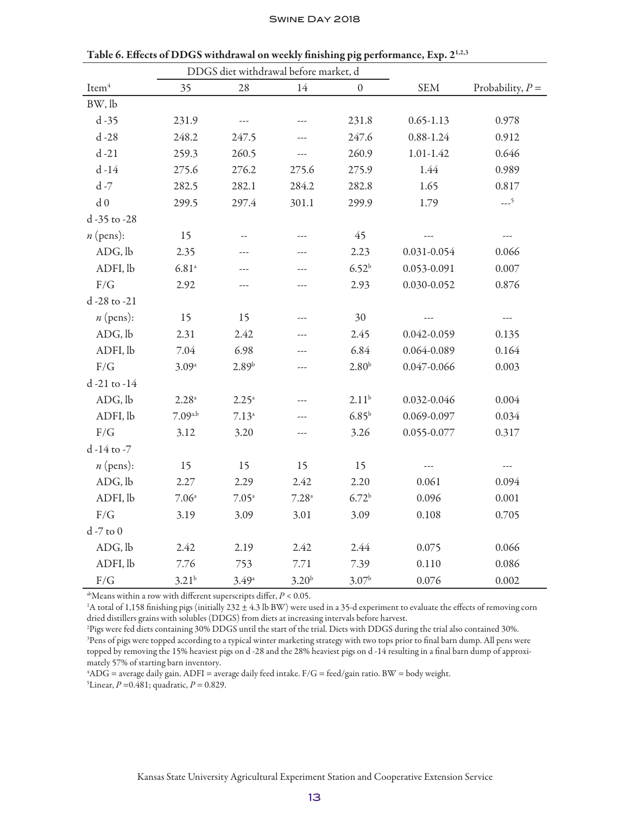|                   |                     |                   | DDGS diet withdrawal before market, d |                   |               |                    |
|-------------------|---------------------|-------------------|---------------------------------------|-------------------|---------------|--------------------|
| Item <sup>4</sup> | 35                  | 28                | 14                                    | $\boldsymbol{0}$  | <b>SEM</b>    | Probability, $P =$ |
| BW, lb            |                     |                   |                                       |                   |               |                    |
| $d - 35$          | 231.9               | ---               | ---                                   | 231.8             | $0.65 - 1.13$ | 0.978              |
| $d - 28$          | 248.2               | 247.5             | ---                                   | 247.6             | $0.88 - 1.24$ | 0.912              |
| $d - 21$          | 259.3               | 260.5             | $---$                                 | 260.9             | $1.01 - 1.42$ | 0.646              |
| $d-14$            | 275.6               | 276.2             | 275.6                                 | 275.9             | 1.44          | 0.989              |
| $d - 7$           | 282.5               | 282.1             | 284.2                                 | 282.8             | 1.65          | 0.817              |
| d <sub>0</sub>    | 299.5               | 297.4             | 301.1                                 | 299.9             | 1.79          | $--5$              |
| d -35 to -28      |                     |                   |                                       |                   |               |                    |
| $n$ (pens):       | 15                  |                   |                                       | 45                |               | ---                |
| ADG, lb           | 2.35                | ---               | ---                                   | 2.23              | 0.031-0.054   | 0.066              |
| ADFI, lb          | $6.81^{\rm a}$      | ---               |                                       | $6.52^{b}$        | 0.053-0.091   | 0.007              |
| F/G               | 2.92                | ---               | ---                                   | 2.93              | 0.030-0.052   | 0.876              |
| d -28 to -21      |                     |                   |                                       |                   |               |                    |
| $n$ (pens):       | 15                  | 15                | ---                                   | 30                | ---           | ---                |
| ADG, lb           | 2.31                | 2.42              | ---                                   | 2.45              | 0.042-0.059   | 0.135              |
| ADFI, lb          | 7.04                | 6.98              | ---                                   | 6.84              | 0.064-0.089   | 0.164              |
| F/G               | 3.09a               | 2.89 <sup>b</sup> | ---                                   | 2.80 <sup>b</sup> | 0.047-0.066   | 0.003              |
| d -21 to -14      |                     |                   |                                       |                   |               |                    |
| ADG, lb           | $2.28$ <sup>a</sup> | $2.25^{\circ}$    | ---                                   | 2.11 <sup>b</sup> | 0.032-0.046   | 0.004              |
| ADFI, lb          | $7.09^{a,b}$        | $7.13^a$          | ---                                   | $6.85^{\rm b}$    | 0.069-0.097   | 0.034              |
| F/G               | 3.12                | 3.20              | ---                                   | 3.26              | 0.055-0.077   | 0.317              |
| d -14 to -7       |                     |                   |                                       |                   |               |                    |
| $n$ (pens):       | 15                  | 15                | 15                                    | 15                |               |                    |
| ADG, lb           | 2.27                | 2.29              | 2.42                                  | 2.20              | 0.061         | 0.094              |
| ADFI, lb          | $7.06^{\circ}$      | 7.05 <sup>a</sup> | $7.28^{\mathrm{a}}$                   | 6.72 <sup>b</sup> | 0.096         | 0.001              |
| F/G               | 3.19                | 3.09              | 3.01                                  | 3.09              | 0.108         | 0.705              |
| $d - 7$ to $0$    |                     |                   |                                       |                   |               |                    |
| ADG, lb           | 2.42                | 2.19              | 2.42                                  | 2.44              | 0.075         | 0.066              |
| ADFI, lb          | 7.76                | 753               | 7.71                                  | 7.39              | 0.110         | 0.086              |
| $\rm F/G$         | $3.21^{b}$          | $3.49^{\circ}$    | $3.20^{b}$                            | $3.07^{b}$        | 0.076         | 0.002              |

Table 6. Effects of DDGS withdrawal on weekly finishing pig performance, Exp. 21,2,3

abMeans within a row with different superscripts differ, *P* < 0.05.

<sup>1</sup>A total of 1,158 finishing pigs (initially 232 ± 4.3 lb BW) were used in a 35-d experiment to evaluate the effects of removing corn dried distillers grains with solubles (DDGS) from diets at increasing intervals before harvest.

2 Pigs were fed diets containing 30% DDGS until the start of the trial. Diets with DDGS during the trial also contained 30%. 3 Pens of pigs were topped according to a typical winter marketing strategy with two tops prior to final barn dump. All pens were topped by removing the 15% heaviest pigs on d -28 and the 28% heaviest pigs on d -14 resulting in a final barn dump of approximately 57% of starting barn inventory.

4 ADG = average daily gain. ADFI = average daily feed intake. F/G = feed/gain ratio. BW = body weight. 5 Linear, *P* =0.481; quadratic, *P* = 0.829.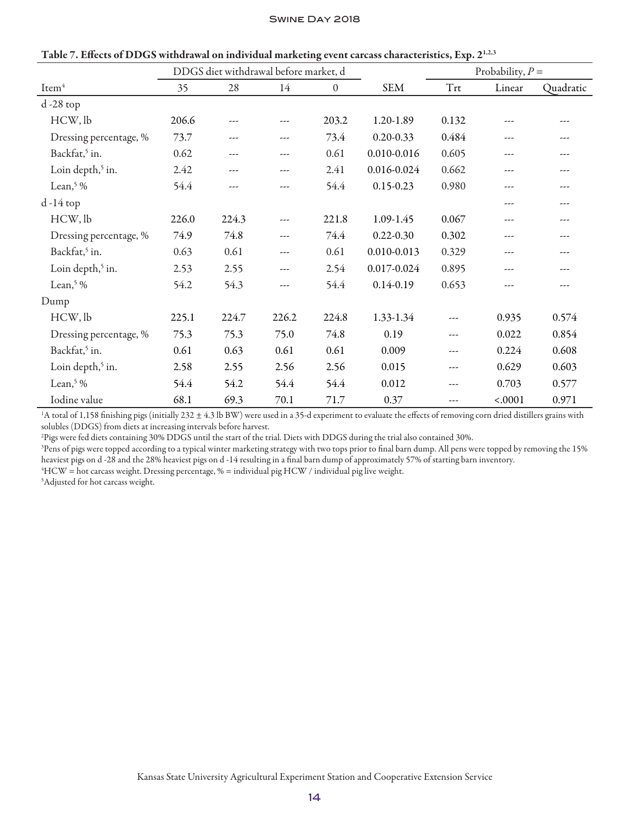|                              | DDGS diet withdrawal before market, d |       |       |                |                 | Probability, $P =$               |         |           |
|------------------------------|---------------------------------------|-------|-------|----------------|-----------------|----------------------------------|---------|-----------|
| Item <sup>4</sup>            | 35                                    | 28    | 14    | $\overline{0}$ | <b>SEM</b>      | $\operatorname{Tr}\!{\mathbf t}$ | Linear  | Quadratic |
| $d - 28$ top                 |                                       |       |       |                |                 |                                  |         |           |
| HCW, lb                      | 206.6                                 | ---   | ---   | 203.2          | 1.20-1.89       | 0.132                            | ---     |           |
| Dressing percentage, %       | 73.7                                  | ---   | ---   | 73.4           | $0.20 - 0.33$   | 0.484                            | ---     | ---       |
| Backfat, <sup>5</sup> in.    | 0.62                                  | ---   | ---   | 0.61           | 0.010-0.016     | 0.605                            | $---$   |           |
| Loin depth, <sup>5</sup> in. | 2.42                                  | ---   | ---   | 2.41           | 0.016-0.024     | 0.662                            | ---     |           |
| Lean, $5\%$                  | 54.4                                  | ---   | ---   | 54.4           | $0.15 - 0.23$   | 0.980                            | ---     | ---       |
| $d - 14$ top                 |                                       |       |       |                |                 |                                  | ---     | ---       |
| HCW, lb                      | 226.0                                 | 224.3 | ---   | 221.8          | 1.09-1.45       | 0.067                            | ---     | ---       |
| Dressing percentage, %       | 74.9                                  | 74.8  | $---$ | 74.4           | $0.22 - 0.30$   | 0.302                            | $---$   |           |
| Backfat, <sup>5</sup> in.    | 0.63                                  | 0.61  | ---   | 0.61           | $0.010 - 0.013$ | 0.329                            | ---     |           |
| Loin depth, <sup>5</sup> in. | 2.53                                  | 2.55  | ---   | 2.54           | 0.017-0.024     | 0.895                            | ---     |           |
| Lean, $5\%$                  | 54.2                                  | 54.3  | ---   | 54.4           | $0.14 - 0.19$   | 0.653                            | ---     | ---       |
| Dump                         |                                       |       |       |                |                 |                                  |         |           |
| HCW, lb                      | 225.1                                 | 224.7 | 226.2 | 224.8          | 1.33-1.34       | ---                              | 0.935   | 0.574     |
| Dressing percentage, %       | 75.3                                  | 75.3  | 75.0  | 74.8           | 0.19            | ---                              | 0.022   | 0.854     |
| Backfat, <sup>5</sup> in.    | 0.61                                  | 0.63  | 0.61  | 0.61           | 0.009           | ---                              | 0.224   | 0.608     |
| Loin depth, <sup>5</sup> in. | 2.58                                  | 2.55  | 2.56  | 2.56           | 0.015           | ---                              | 0.629   | 0.603     |
| Lean, $\frac{5}{6}$ %        | 54.4                                  | 54.2  | 54.4  | 54.4           | 0.012           | ---                              | 0.703   | 0.577     |
| Iodine value                 | 68.1                                  | 69.3  | 70.1  | 71.7           | 0.37            | ---                              | < .0001 | 0.971     |

| Table 7. Effects of DDGS withdrawal on individual marketing event carcass characteristics, Exp. 2 <sup>1,2,3</sup> |  |
|--------------------------------------------------------------------------------------------------------------------|--|
|--------------------------------------------------------------------------------------------------------------------|--|

<sup>1</sup>A total of 1,158 finishing pigs (initially 232  $\pm$  4.3 lb BW) were used in a 35-d experiment to evaluate the effects of removing corn dried distillers grains with solubles (DDGS) from diets at increasing intervals before harvest.

2 Pigs were fed diets containing 30% DDGS until the start of the trial. Diets with DDGS during the trial also contained 30%.

3 Pens of pigs were topped according to a typical winter marketing strategy with two tops prior to final barn dump. All pens were topped by removing the 15% heaviest pigs on d -28 and the 28% heaviest pigs on d -14 resulting in a final barn dump of approximately 57% of starting barn inventory.

4 HCW = hot carcass weight. Dressing percentage, % = individual pig HCW / individual pig live weight.

5 Adjusted for hot carcass weight.